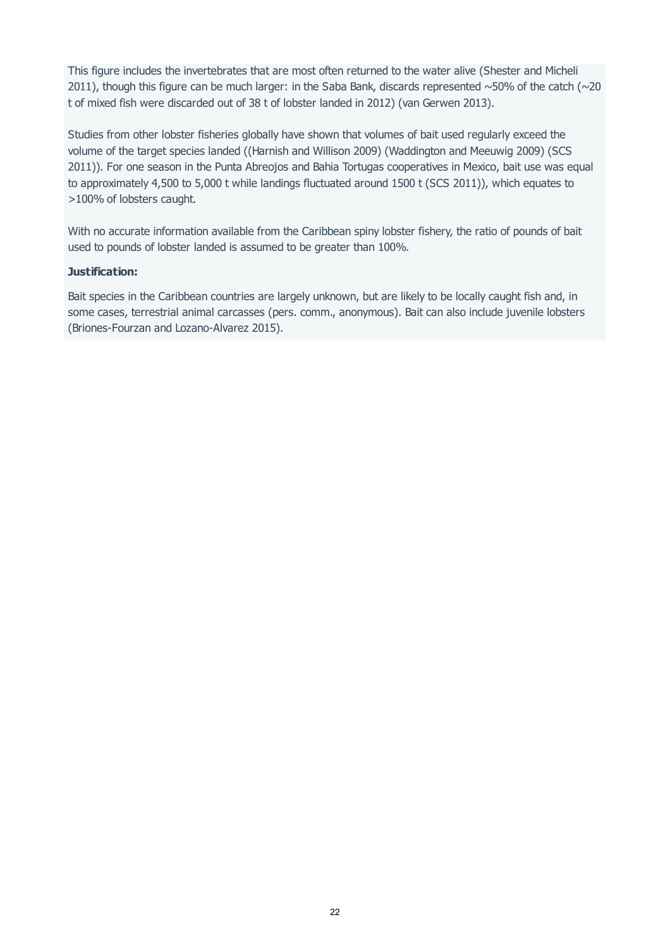This figure includes the invertebrates that are most often returned to the water alive (Shester and Micheli 2011), though this figure can be much larger: in the Saba Bank, discards represented  $\sim$ 50% of the catch ( $\sim$ 20 t of mixed fish were discarded out of 38 t of lobster landed in 2012) (van Gerwen 2013).

Studies from other lobster fisheries globally have shown that volumes of bait used regularly exceed the volume of the target species landed ((Harnish and Willison 2009) (Waddington and Meeuwig 2009) (SCS 2011)). For one season in the Punta Abreojos and Bahia Tortugas cooperatives in Mexico, bait use was equal to approximately 4,500 to 5,000 t while landings fluctuated around 1500 t (SCS 2011)), which equates to >100% of lobsters caught.

With no accurate information available from the Caribbean spiny lobster fishery, the ratio of pounds of bait used to pounds of lobster landed is assumed to be greater than 100%.

#### **Justification:**

Bait species in the Caribbean countries are largely unknown, but are likely to be locally caught fish and, in some cases, terrestrial animal carcasses (pers. comm., anonymous). Bait can also include juvenile lobsters (Briones-Fourzan and Lozano-Alvarez 2015).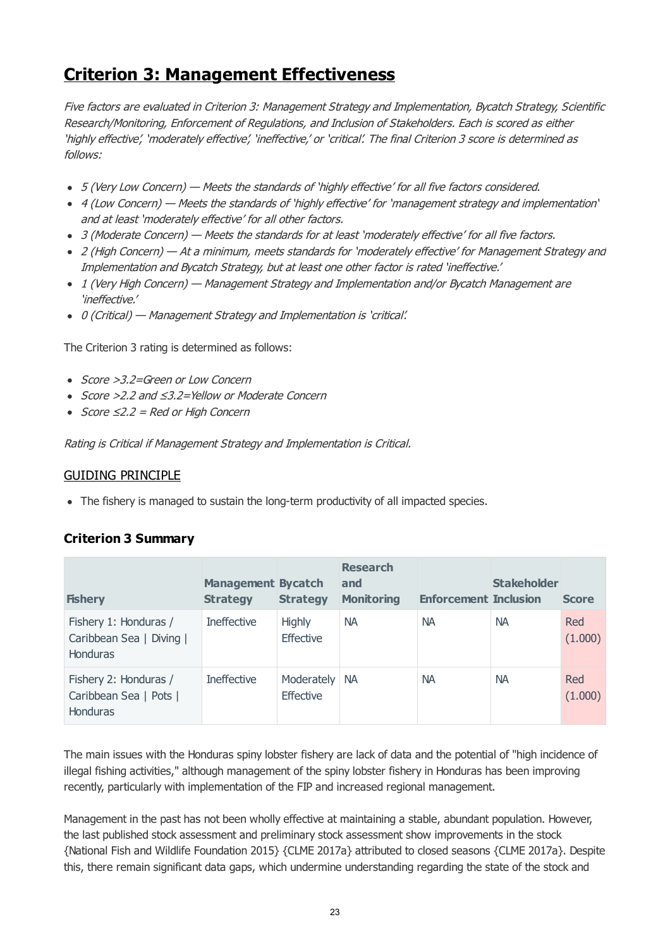# **Criterion 3: Management Effectiveness**

Five factors are evaluated in Criterion 3: Management Strategy and Implementation, Bycatch Strategy, Scientific Research/Monitoring, Enforcement of Regulations, and Inclusion of Stakeholders. Each is scored as either 'highly effective', 'moderately effective', 'ineffective,' or 'critical'. The final Criterion 3 score is determined as follows:

- 5 (Very Low Concern) Meets the standards of 'highly effective' for all five factors considered.
- 4 (Low Concern) Meets the standards of 'highly effective' for 'management strategy and implementation' and at least 'moderately effective' for all other factors.
- 3 (Moderate Concern) Meets the standards for at least 'moderately effective' for all five factors.
- 2 (High Concern) At a minimum, meets standards for 'moderately effective' for Management Strategy and Implementation and Bycatch Strategy, but at least one other factor is rated 'ineffective.'
- 1 (Very High Concern) Management Strategy and Implementation and/or Bycatch Management are 'ineffective.'
- 0 (Critical) Management Strategy and Implementation is 'critical'.

The Criterion 3 rating is determined as follows:

- Score >3.2=Green or Low Concern
- Score >2.2 and ≤3.2=Yellow or Moderate Concern
- $Score ≤2.2 = Red or High Concern$

Rating is Critical if Management Strategy and Implementation is Critical.

### GUIDING PRINCIPLE

• The fishery is managed to sustain the long-term productivity of all impacted species.

# **Criterion 3 Summary**

| <b>Fishery</b>                                                       | <b>Management Bycatch</b><br><b>Strategy</b> | <b>Strategy</b>                   | <b>Research</b><br>and<br><b>Monitoring</b> | <b>Enforcement Inclusion</b> | <b>Stakeholder</b> | <b>Score</b>   |
|----------------------------------------------------------------------|----------------------------------------------|-----------------------------------|---------------------------------------------|------------------------------|--------------------|----------------|
| Fishery 1: Honduras /<br>Caribbean Sea   Diving  <br><b>Honduras</b> | <b>Ineffective</b>                           | <b>Highly</b><br><b>Effective</b> | <b>NA</b>                                   | <b>NA</b>                    | <b>NA</b>          | Red<br>(1.000) |
| Fishery 2: Honduras /<br>Caribbean Sea   Pots  <br><b>Honduras</b>   | <b>Ineffective</b>                           | Moderately<br><b>Effective</b>    | <b>NA</b>                                   | <b>NA</b>                    | <b>NA</b>          | Red<br>(1.000) |

The main issues with the Honduras spiny lobster fishery are lack of data and the potential of "high incidence of illegal fishing activities," although management of the spiny lobster fishery in Honduras has been improving recently, particularly with implementation of the FIP and increased regional management.

Management in the past has not been wholly effective at maintaining a stable, abundant population. However, the last published stock assessment and preliminary stock assessment show improvements in the stock {National Fish and Wildlife Foundation 2015} {CLME 2017a} attributed to closed seasons {CLME 2017a}. Despite this, there remain significant data gaps, which undermine understanding regarding the state of the stock and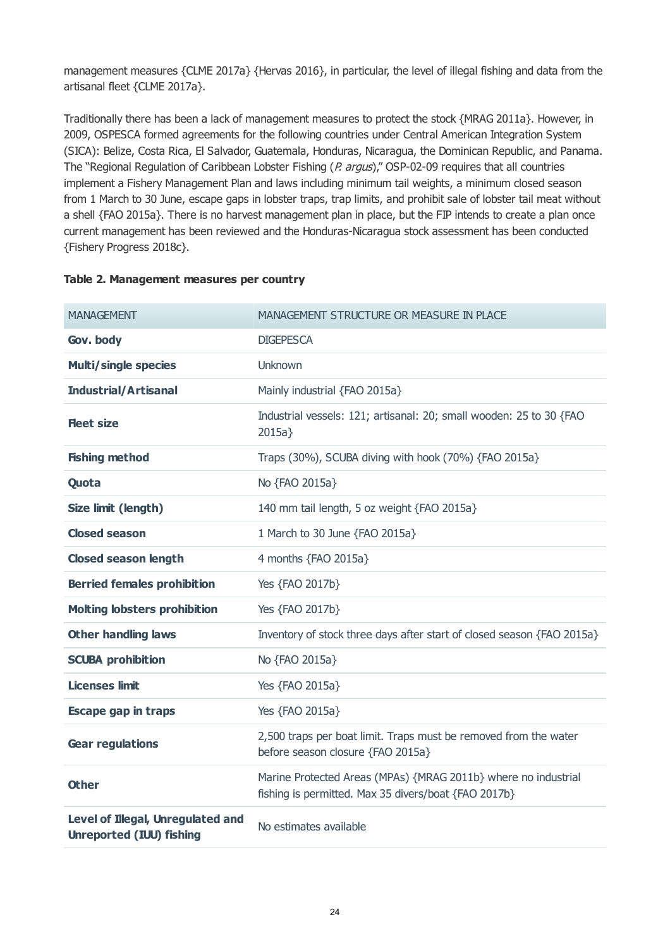management measures {CLME 2017a} {Hervas 2016}, in particular, the level of illegal fishing and data from the artisanal fleet {CLME 2017a}.

Traditionally there has been a lack of management measures to protect the stock {MRAG 2011a}. However, in 2009, OSPESCA formed agreements for the following countries under Central American Integration System (SICA): Belize, Costa Rica, El Salvador, Guatemala, Honduras, Nicaragua, the Dominican Republic, and Panama. The "Regional Regulation of Caribbean Lobster Fishing (P. argus)," OSP-02-09 requires that all countries implement a Fishery Management Plan and laws including minimum tail weights, a minimum closed season from 1 March to 30 June, escape gaps in lobster traps, trap limits, and prohibit sale of lobster tail meat without a shell {FAO 2015a}. There is no harvest management plan in place, but the FIP intends to create a plan once current management has been reviewed and the Honduras-Nicaragua stock assessment has been conducted {Fishery Progress 2018c}.

| <b>MANAGEMENT</b>                                                    | MANAGEMENT STRUCTURE OR MEASURE IN PLACE                                                                               |
|----------------------------------------------------------------------|------------------------------------------------------------------------------------------------------------------------|
| Gov. body                                                            | <b>DIGEPESCA</b>                                                                                                       |
| <b>Multi/single species</b>                                          | Unknown                                                                                                                |
| <b>Industrial/Artisanal</b>                                          | Mainly industrial {FAO 2015a}                                                                                          |
| <b>Fleet size</b>                                                    | Industrial vessels: 121; artisanal: 20; small wooden: 25 to 30 {FAO<br>2015a                                           |
| <b>Fishing method</b>                                                | Traps (30%), SCUBA diving with hook (70%) {FAO 2015a}                                                                  |
| Quota                                                                | No {FAO 2015a}                                                                                                         |
| Size limit (length)                                                  | 140 mm tail length, 5 oz weight {FAO 2015a}                                                                            |
| <b>Closed season</b>                                                 | 1 March to 30 June {FAO 2015a}                                                                                         |
| <b>Closed season length</b>                                          | 4 months {FAO 2015a}                                                                                                   |
| <b>Berried females prohibition</b>                                   | Yes {FAO 2017b}                                                                                                        |
| <b>Molting lobsters prohibition</b>                                  | Yes {FAO 2017b}                                                                                                        |
| <b>Other handling laws</b>                                           | Inventory of stock three days after start of closed season {FAO 2015a}                                                 |
| <b>SCUBA prohibition</b>                                             | No {FAO 2015a}                                                                                                         |
| <b>Licenses limit</b>                                                | Yes {FAO 2015a}                                                                                                        |
| <b>Escape gap in traps</b>                                           | Yes {FAO 2015a}                                                                                                        |
| <b>Gear regulations</b>                                              | 2,500 traps per boat limit. Traps must be removed from the water<br>before season closure {FAO 2015a}                  |
| <b>Other</b>                                                         | Marine Protected Areas (MPAs) {MRAG 2011b} where no industrial<br>fishing is permitted. Max 35 divers/boat {FAO 2017b} |
| Level of Illegal, Unregulated and<br><b>Unreported (IUU) fishing</b> | No estimates available                                                                                                 |

### **Table 2. Management measures per country**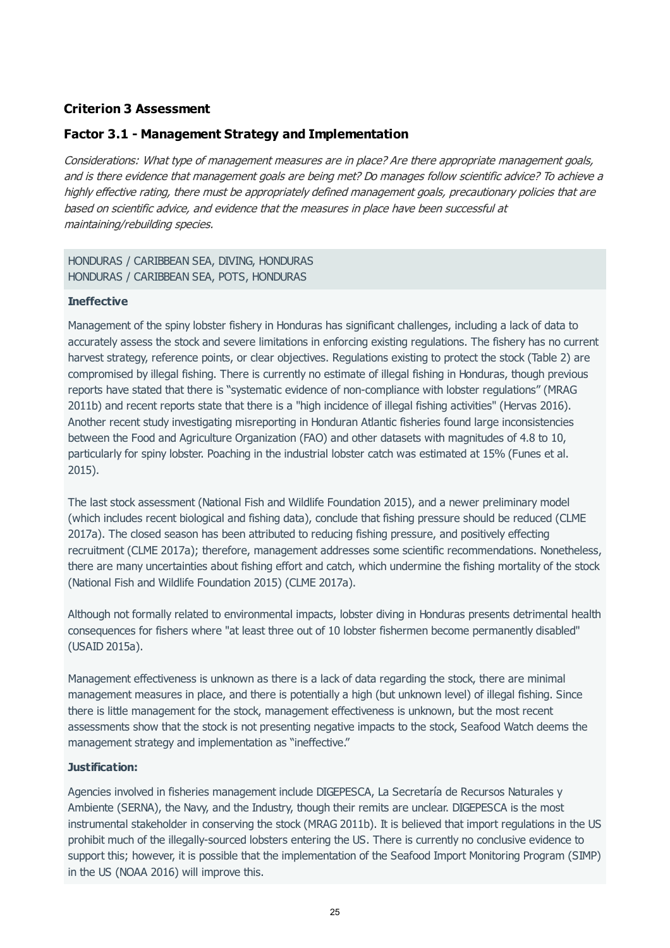# **Criterion 3 Assessment**

# **Factor 3.1 - Management Strategy and Implementation**

Considerations: What type of management measures are in place? Are there appropriate management goals, and is there evidence that management goals are being met? Do manages follow scientific advice? To achieve a highly effective rating, there must be appropriately defined management goals, precautionary policies that are based on scientific advice, and evidence that the measures in place have been successful at maintaining/rebuilding species.

### HONDURAS / CARIBBEAN SEA, DIVING, HONDURAS HONDURAS / CARIBBEAN SEA, POTS, HONDURAS

#### **Ineffective**

Management of the spiny lobster fishery in Honduras has significant challenges, including a lack of data to accurately assess the stock and severe limitations in enforcing existing regulations. The fishery has no current harvest strategy, reference points, or clear objectives. Regulations existing to protect the stock (Table 2) are compromised by illegal fishing. There is currently no estimate of illegal fishing in Honduras, though previous reports have stated that there is "systematic evidence of non-compliance with lobster regulations" (MRAG 2011b) and recent reports state that there is a "high incidence of illegal fishing activities" (Hervas 2016). Another recent study investigating misreporting in Honduran Atlantic fisheries found large inconsistencies between the Food and Agriculture Organization (FAO) and other datasets with magnitudes of 4.8 to 10, particularly for spiny lobster. Poaching in the industrial lobster catch was estimated at 15% (Funes et al. 2015).

The last stock assessment (National Fish and Wildlife Foundation 2015), and a newer preliminary model (which includes recent biological and fishing data), conclude that fishing pressure should be reduced (CLME 2017a). The closed season has been attributed to reducing fishing pressure, and positively effecting recruitment (CLME 2017a); therefore, management addresses some scientific recommendations. Nonetheless, there are many uncertainties about fishing effort and catch, which undermine the fishing mortality of the stock (National Fish and Wildlife Foundation 2015) (CLME 2017a).

Although not formally related to environmental impacts, lobster diving in Honduras presents detrimental health consequences for fishers where "at least three out of 10 lobster fishermen become permanently disabled" (USAID 2015a).

Management effectiveness is unknown as there is a lack of data regarding the stock, there are minimal management measures in place, and there is potentially a high (but unknown level) of illegal fishing. Since there is little management for the stock, management effectiveness is unknown, but the most recent assessments show that the stock is not presenting negative impacts to the stock, Seafood Watch deems the management strategy and implementation as "ineffective."

### **Justification:**

Agencies involved in fisheries management include DIGEPESCA, La Secretaría de Recursos Naturales y Ambiente (SERNA), the Navy, and the Industry, though their remits are unclear. DIGEPESCA is the most instrumental stakeholder in conserving the stock (MRAG 2011b). It is believed that import regulations in the US prohibit much of the illegally-sourced lobsters entering the US. There is currently no conclusive evidence to support this; however, it is possible that the implementation of the Seafood Import Monitoring Program (SIMP) in the US (NOAA 2016) will improve this.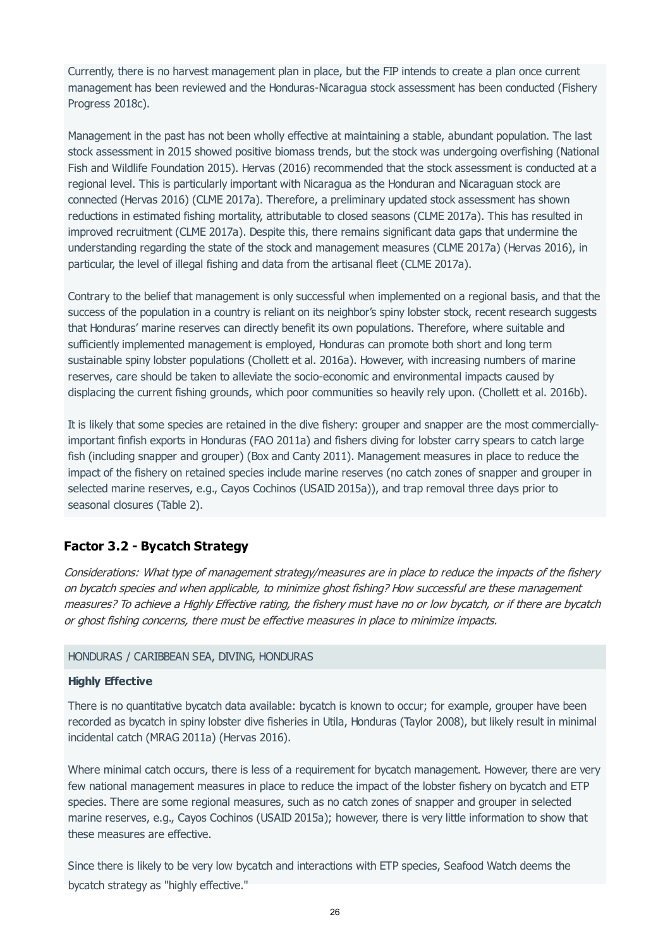Currently, there is no harvest management plan in place, but the FIP intends to create a plan once current management has been reviewed and the Honduras-Nicaragua stock assessment has been conducted (Fishery Progress 2018c).

Management in the past has not been wholly effective at maintaining a stable, abundant population. The last stock assessment in 2015 showed positive biomass trends, but the stock was undergoing overfishing (National Fish and Wildlife Foundation 2015). Hervas (2016) recommended that the stock assessment is conducted at a regional level. This is particularly important with Nicaragua as the Honduran and Nicaraguan stock are connected (Hervas 2016) (CLME 2017a). Therefore, a preliminary updated stock assessment has shown reductions in estimated fishing mortality, attributable to closed seasons (CLME 2017a). This has resulted in improved recruitment (CLME 2017a). Despite this, there remains significant data gaps that undermine the understanding regarding the state of the stock and management measures (CLME 2017a) (Hervas 2016), in particular, the level of illegal fishing and data from the artisanal fleet (CLME 2017a).

Contrary to the belief that management is only successful when implemented on a regional basis, and that the success of the population in a country is reliant on its neighbor's spiny lobster stock, recent research suggests that Honduras' marine reserves can directly benefit its own populations. Therefore, where suitable and sufficiently implemented management is employed, Honduras can promote both short and long term sustainable spiny lobster populations (Chollett et al. 2016a). However, with increasing numbers of marine reserves, care should be taken to alleviate the socio-economic and environmental impacts caused by displacing the current fishing grounds, which poor communities so heavily rely upon. (Chollett et al. 2016b).

It is likely that some species are retained in the dive fishery: grouper and snapper are the most commerciallyimportant finfish exports in Honduras (FAO 2011a) and fishers diving for lobster carry spears to catch large fish (including snapper and grouper) (Box and Canty 2011). Management measures in place to reduce the impact of the fishery on retained species include marine reserves (no catch zones of snapper and grouper in selected marine reserves, e.g., Cayos Cochinos (USAID 2015a)), and trap removal three days prior to seasonal closures (Table 2).

# **Factor 3.2 - Bycatch Strategy**

Considerations: What type of management strategy/measures are in place to reduce the impacts of the fishery on bycatch species and when applicable, to minimize ghost fishing? How successful are these management measures? To achieve a Highly Effective rating, the fishery must have no or low bycatch, or if there are bycatch or ghost fishing concerns, there must be effective measures in place to minimize impacts.

### HONDURAS / CARIBBEAN SEA, DIVING, HONDURAS

#### **Highly Effective**

There is no quantitative bycatch data available: bycatch is known to occur; for example, grouper have been recorded as bycatch in spiny lobster dive fisheries in Utila, Honduras (Taylor 2008), but likely result in minimal incidental catch (MRAG 2011a) (Hervas 2016).

Where minimal catch occurs, there is less of a requirement for bycatch management. However, there are very few national management measures in place to reduce the impact of the lobster fishery on bycatch and ETP species. There are some regional measures, such as no catch zones of snapper and grouper in selected marine reserves, e.g., Cayos Cochinos (USAID 2015a); however, there is very little information to show that these measures are effective.

Since there is likely to be very low bycatch and interactions with ETP species, Seafood Watch deems the bycatch strategy as "highly effective."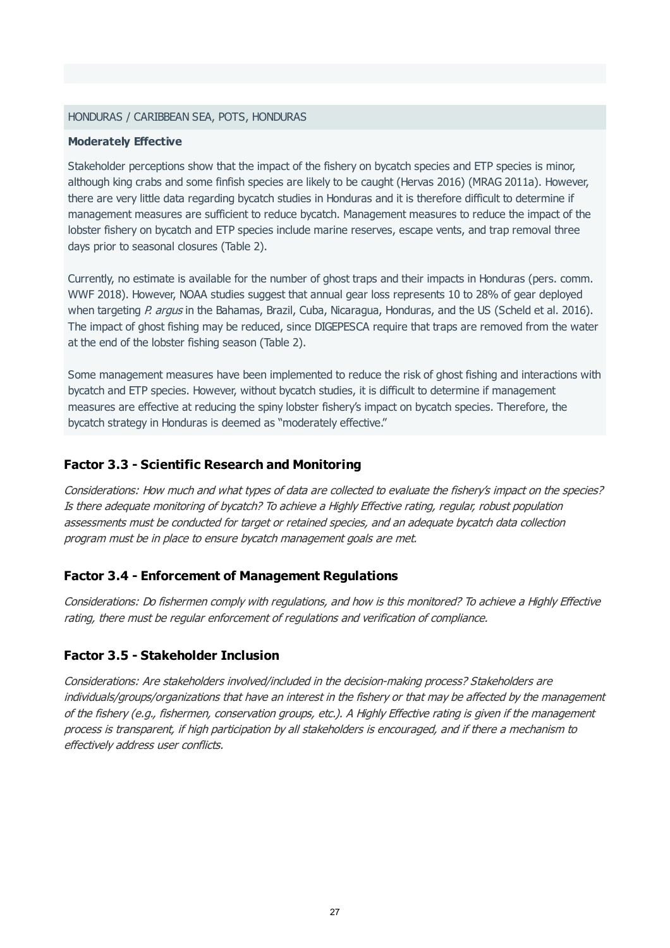### HONDURAS / CARIBBEAN SEA, POTS, HONDURAS

#### **Moderately Effective**

Stakeholder perceptions show that the impact of the fishery on bycatch species and ETP species is minor, although king crabs and some finfish species are likely to be caught (Hervas 2016) (MRAG 2011a). However, there are very little data regarding bycatch studies in Honduras and it is therefore difficult to determine if management measures are sufficient to reduce bycatch. Management measures to reduce the impact of the lobster fishery on bycatch and ETP species include marine reserves, escape vents, and trap removal three days prior to seasonal closures (Table 2).

Currently, no estimate is available for the number of ghost traps and their impacts in Honduras (pers. comm. WWF 2018). However, NOAA studies suggest that annual gear loss represents 10 to 28% of gear deployed when targeting P. argus in the Bahamas, Brazil, Cuba, Nicaragua, Honduras, and the US (Scheld et al. 2016). The impact of ghost fishing may be reduced, since DIGEPESCA require that traps are removed from the water at the end of the lobster fishing season (Table 2).

Some management measures have been implemented to reduce the risk of ghost fishing and interactions with bycatch and ETP species. However, without bycatch studies, it is difficult to determine if management measures are effective at reducing the spiny lobster fishery's impact on bycatch species. Therefore, the bycatch strategy in Honduras is deemed as "moderately effective."

# **Factor 3.3 - Scientific Research and Monitoring**

Considerations: How much and what types of data are collected to evaluate the fishery's impact on the species? Is there adequate monitoring of bycatch? To achieve a Highly Effective rating, regular, robust population assessments must be conducted for target or retained species, and an adequate bycatch data collection program must be in place to ensure bycatch management goals are met.

## **Factor 3.4 - Enforcement of Management Regulations**

Considerations: Do fishermen comply with regulations, and how is this monitored? To achieve a Highly Effective rating, there must be regular enforcement of regulations and verification of compliance.

# **Factor 3.5 - Stakeholder Inclusion**

Considerations: Are stakeholders involved/included in the decision-making process? Stakeholders are individuals/groups/organizations that have an interest in the fishery or that may be affected by the management of the fishery (e.g., fishermen, conservation groups, etc.). A Highly Effective rating is given if the management process is transparent, if high participation by all stakeholders is encouraged, and if there a mechanism to effectively address user conflicts.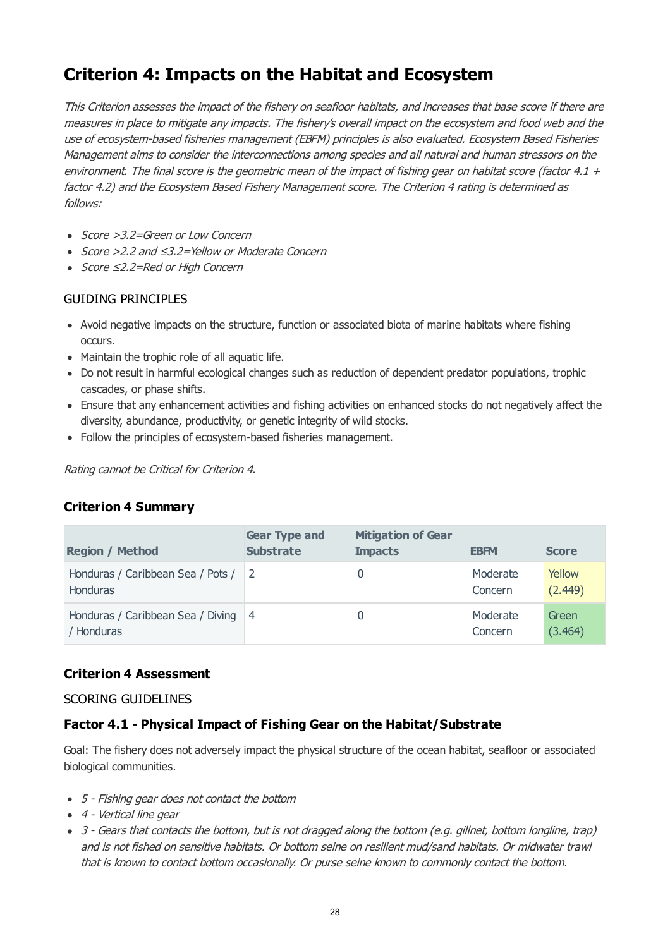# **Criterion 4: Impacts on the Habitat and Ecosystem**

This Criterion assesses the impact of the fishery on seafloor habitats, and increases that base score if there are measures in place to mitigate any impacts. The fishery's overall impact on the ecosystem and food web and the use of ecosystem-based fisheries management (EBFM) principles is also evaluated. Ecosystem Based Fisheries Management aims to consider the interconnections among species and all natural and human stressors on the environment. The final score is the geometric mean of the impact of fishing gear on habitat score (factor 4.1  $+$ factor 4.2) and the Ecosystem Based Fishery Management score. The Criterion 4 rating is determined as follows:

- Score > 3.2=Green or Low Concern
- Score >2.2 and ≤3.2=Yellow or Moderate Concern
- Score ≤2.2=Red or High Concern

# GUIDING PRINCIPLES

- Avoid negative impacts on the structure, function or associated biota of marine habitats where fishing occurs.
- Maintain the trophic role of all aquatic life.
- Do not result in harmful ecological changes such as reduction of dependent predator populations, trophic cascades, or phase shifts.
- Ensure that any enhancement activities and fishing activities on enhanced stocks do not negatively affect the diversity, abundance, productivity, or genetic integrity of wild stocks.
- Follow the principles of ecosystem-based fisheries management.

Rating cannot be Critical for Criterion 4.

# **Criterion 4 Summary**

| <b>Region / Method</b>                                 | <b>Gear Type and</b><br><b>Substrate</b> | <b>Mitigation of Gear</b><br><b>Impacts</b> | <b>EBFM</b>         | <b>Score</b>      |
|--------------------------------------------------------|------------------------------------------|---------------------------------------------|---------------------|-------------------|
| Honduras / Caribbean Sea / Pots / 2<br><b>Honduras</b> |                                          |                                             | Moderate<br>Concern | Yellow<br>(2.449) |
| Honduras / Caribbean Sea / Diving 4<br>/ Honduras      |                                          |                                             | Moderate<br>Concern | Green<br>(3.464)  |

# **Criterion 4 Assessment**

## SCORING GUIDELINES

# **Factor 4.1 - Physical Impact of Fishing Gear on the Habitat/Substrate**

Goal: The fishery does not adversely impact the physical structure of the ocean habitat, seafloor or associated biological communities.

- 5 Fishing gear does not contact the bottom
- 4 Vertical line gear
- 3 Gears that contacts the bottom, but is not dragged along the bottom (e.g. gillnet, bottom longline, trap) and is not fished on sensitive habitats. Or bottom seine on resilient mud/sand habitats. Or midwater trawl that is known to contact bottom occasionally. Or purse seine known to commonly contact the bottom.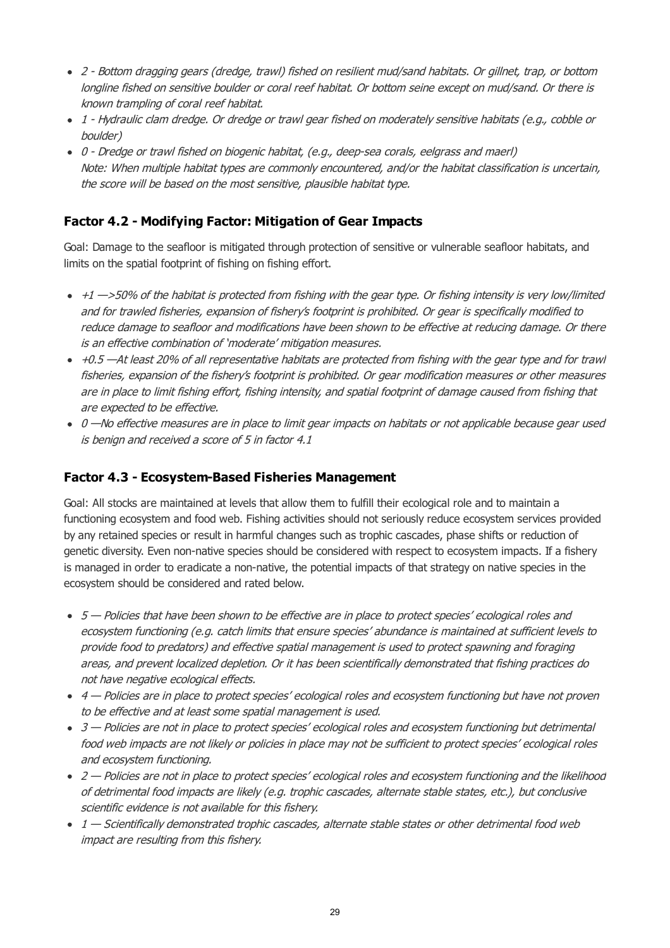- 2 Bottom dragging gears (dredge, trawl) fished on resilient mud/sand habitats. Or gillnet, trap, or bottom longline fished on sensitive boulder or coral reef habitat. Or bottom seine except on mud/sand. Or there is known trampling of coral reef habitat.
- 1 Hydraulic clam dredge. Or dredge or trawl gear fished on moderately sensitive habitats (e.g., cobble or boulder)
- 0 Dredge or trawl fished on biogenic habitat, (e.g., deep-sea corals, eelgrass and maerl) Note: When multiple habitat types are commonly encountered, and/or the habitat classification is uncertain, the score will be based on the most sensitive, plausible habitat type.

# **Factor 4.2 - Modifying Factor: Mitigation of Gear Impacts**

Goal: Damage to the seafloor is mitigated through protection of sensitive or vulnerable seafloor habitats, and limits on the spatial footprint of fishing on fishing effort.

- $\cdot$  +1  $\rightarrow$  50% of the habitat is protected from fishing with the gear type. Or fishing intensity is very low/limited and for trawled fisheries, expansion of fishery's footprint is prohibited. Or gear is specifically modified to reduce damage to seafloor and modifications have been shown to be effective at reducing damage. Or there is an effective combination of 'moderate' mitigation measures.
- $+0.5$  —At least 20% of all representative habitats are protected from fishing with the gear type and for trawl fisheries, expansion of the fishery's footprint is prohibited. Or gear modification measures or other measures are in place to limit fishing effort, fishing intensity, and spatial footprint of damage caused from fishing that are expected to be effective.
- 0 -No effective measures are in place to limit gear impacts on habitats or not applicable because gear used is benign and received a score of 5 in factor 4.1

# **Factor 4.3 - Ecosystem-Based Fisheries Management**

Goal: All stocks are maintained at levels that allow them to fulfill their ecological role and to maintain a functioning ecosystem and food web. Fishing activities should not seriously reduce ecosystem services provided by any retained species or result in harmful changes such as trophic cascades, phase shifts or reduction of genetic diversity. Even non-native species should be considered with respect to ecosystem impacts. If a fishery is managed in order to eradicate a non-native, the potential impacts of that strategy on native species in the ecosystem should be considered and rated below.

- 5 Policies that have been shown to be effective are in place to protect species' ecological roles and ecosystem functioning (e.g. catch limits that ensure species' abundance is maintained at sufficient levels to provide food to predators) and effective spatial management is used to protect spawning and foraging areas, and prevent localized depletion. Or it has been scientifically demonstrated that fishing practices do not have negative ecological effects.
- 4 Policies are in place to protect species' ecological roles and ecosystem functioning but have not proven to be effective and at least some spatial management is used.
- 3 Policies are not in place to protect species' ecological roles and ecosystem functioning but detrimental food web impacts are not likely or policies in place may not be sufficient to protect species' ecological roles and ecosystem functioning.
- 2 Policies are not in place to protect species' ecological roles and ecosystem functioning and the likelihood of detrimental food impacts are likely (e.g. trophic cascades, alternate stable states, etc.), but conclusive scientific evidence is not available for this fishery.
- 1 Scientifically demonstrated trophic cascades, alternate stable states or other detrimental food web impact are resulting from this fishery.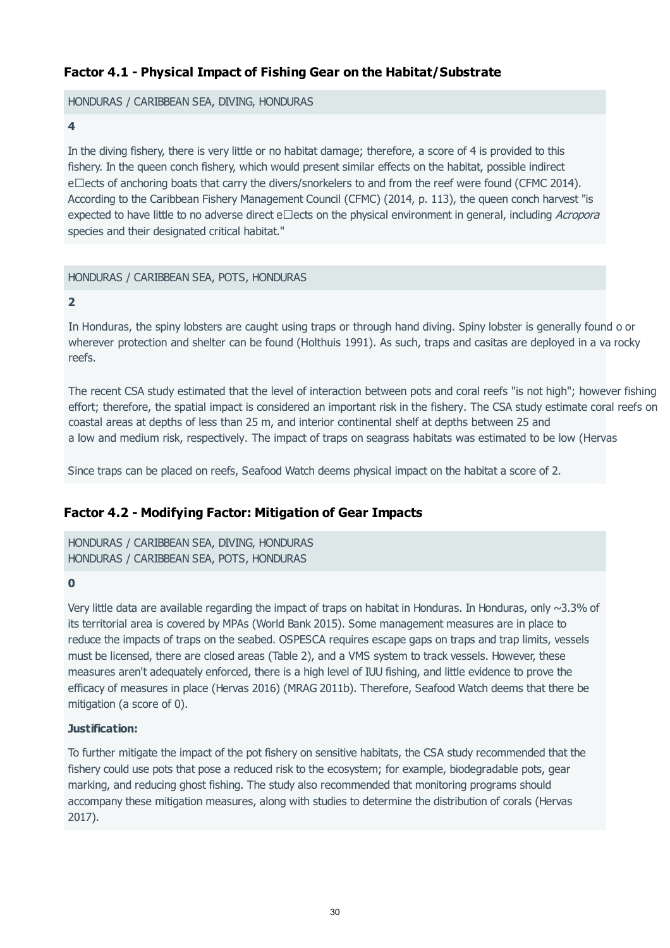# **Factor 4.1 - Physical Impact of Fishing Gear on the Habitat/Substrate**

HONDURAS / CARIBBEAN SEA, DIVING, HONDURAS

#### **4**

In the diving fishery, there is very little or no habitat damage; therefore, a score of 4 is provided to this fishery. In the queen conch fishery, which would present similar effects on the habitat, possible indirect e $\square$ ects of anchoring boats that carry the divers/snorkelers to and from the reef were found (CFMC 2014). According to the Caribbean Fishery Management Council (CFMC) (2014, p. 113), the queen conch harvest "is expected to have little to no adverse direct e $\Box$ ects on the physical environment in general, including Acropora species and their designated critical habitat."

## HONDURAS / CARIBBEAN SEA, POTS, HONDURAS

### **2**

In Honduras, the spiny lobsters are caught using traps or through hand diving. Spiny lobster is generally found o or wherever protection and shelter can be found (Holthuis 1991). As such, traps and casitas are deployed in a va rocky reefs.

The recent CSA study estimated that the level of interaction between pots and coral reefs "is not high"; however fishing effort; therefore, the spatial impact is considered an important risk in the fishery. The CSA study estimate coral reefs on coastal areas at depths of less than 25 m, and interior continental shelf at depths between 25 and a low and medium risk, respectively. The impact of traps on seagrass habitats was estimated to be low (Hervas

Since traps can be placed on reefs, Seafood Watch deems physical impact on the habitat a score of 2.

# **Factor 4.2 - Modifying Factor: Mitigation of Gear Impacts**

HONDURAS / CARIBBEAN SEA, DIVING, HONDURAS HONDURAS / CARIBBEAN SEA, POTS, HONDURAS

### **0**

Very little data are available regarding the impact of traps on habitat in Honduras. In Honduras, only ~3.3% of its territorial area is covered by MPAs (World Bank 2015). Some management measures are in place to reduce the impacts of traps on the seabed. OSPESCA requires escape gaps on traps and trap limits, vessels must be licensed, there are closed areas (Table 2), and a VMS system to track vessels. However, these measures aren't adequately enforced, there is a high level of IUU fishing, and little evidence to prove the efficacy of measures in place (Hervas 2016) (MRAG 2011b). Therefore, Seafood Watch deems that there be mitigation (a score of 0).

### **Justification:**

To further mitigate the impact of the pot fishery on sensitive habitats, the CSA study recommended that the fishery could use pots that pose a reduced risk to the ecosystem; for example, biodegradable pots, gear marking, and reducing ghost fishing. The study also recommended that monitoring programs should accompany these mitigation measures, along with studies to determine the distribution of corals (Hervas 2017).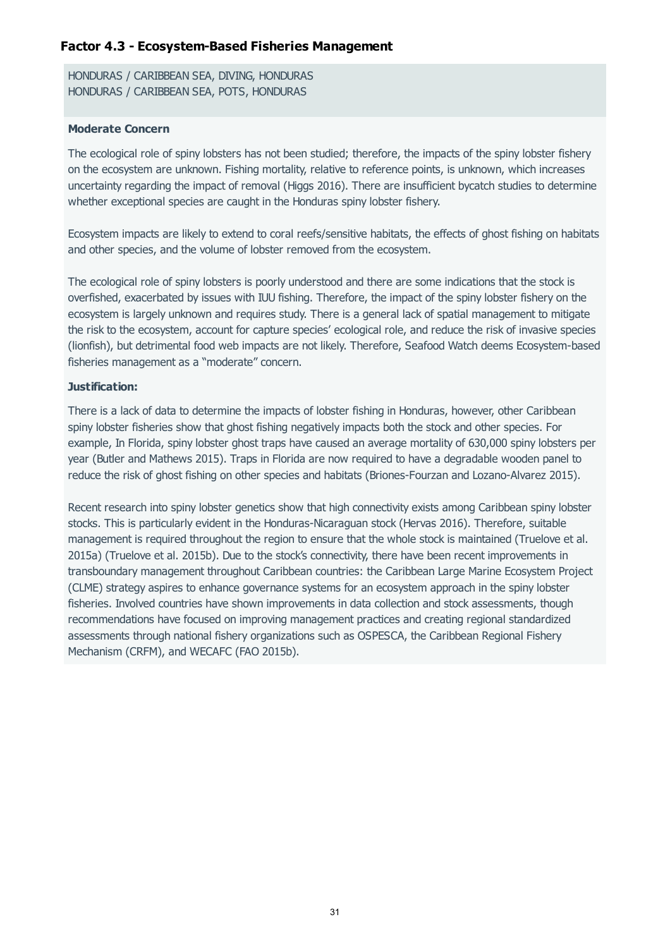# **Factor 4.3 - Ecosystem-Based Fisheries Management**

HONDURAS / CARIBBEAN SEA, DIVING, HONDURAS HONDURAS / CARIBBEAN SEA, POTS, HONDURAS

### **Moderate Concern**

The ecological role of spiny lobsters has not been studied; therefore, the impacts of the spiny lobster fishery on the ecosystem are unknown. Fishing mortality, relative to reference points, is unknown, which increases uncertainty regarding the impact of removal (Higgs 2016). There are insufficient bycatch studies to determine whether exceptional species are caught in the Honduras spiny lobster fishery.

Ecosystem impacts are likely to extend to coral reefs/sensitive habitats, the effects of ghost fishing on habitats and other species, and the volume of lobster removed from the ecosystem.

The ecological role of spiny lobsters is poorly understood and there are some indications that the stock is overfished, exacerbated by issues with IUU fishing. Therefore, the impact of the spiny lobster fishery on the ecosystem is largely unknown and requires study. There is a general lack of spatial management to mitigate the risk to the ecosystem, account for capture species' ecological role, and reduce the risk of invasive species (lionfish), but detrimental food web impacts are not likely. Therefore, Seafood Watch deems Ecosystem-based fisheries management as a "moderate" concern.

### **Justification:**

There is a lack of data to determine the impacts of lobster fishing in Honduras, however, other Caribbean spiny lobster fisheries show that ghost fishing negatively impacts both the stock and other species. For example, In Florida, spiny lobster ghost traps have caused an average mortality of 630,000 spiny lobsters per year (Butler and Mathews 2015). Traps in Florida are now required to have a degradable wooden panel to reduce the risk of ghost fishing on other species and habitats (Briones-Fourzan and Lozano-Alvarez 2015).

Recent research into spiny lobster genetics show that high connectivity exists among Caribbean spiny lobster stocks. This is particularly evident in the Honduras-Nicaraguan stock (Hervas 2016). Therefore, suitable management is required throughout the region to ensure that the whole stock is maintained (Truelove et al. 2015a) (Truelove et al. 2015b). Due to the stock's connectivity, there have been recent improvements in transboundary management throughout Caribbean countries: the Caribbean Large Marine Ecosystem Project (CLME) strategy aspires to enhance governance systems for an ecosystem approach in the spiny lobster fisheries. Involved countries have shown improvements in data collection and stock assessments, though recommendations have focused on improving management practices and creating regional standardized assessments through national fishery organizations such as OSPESCA, the Caribbean Regional Fishery Mechanism (CRFM), and WECAFC (FAO 2015b).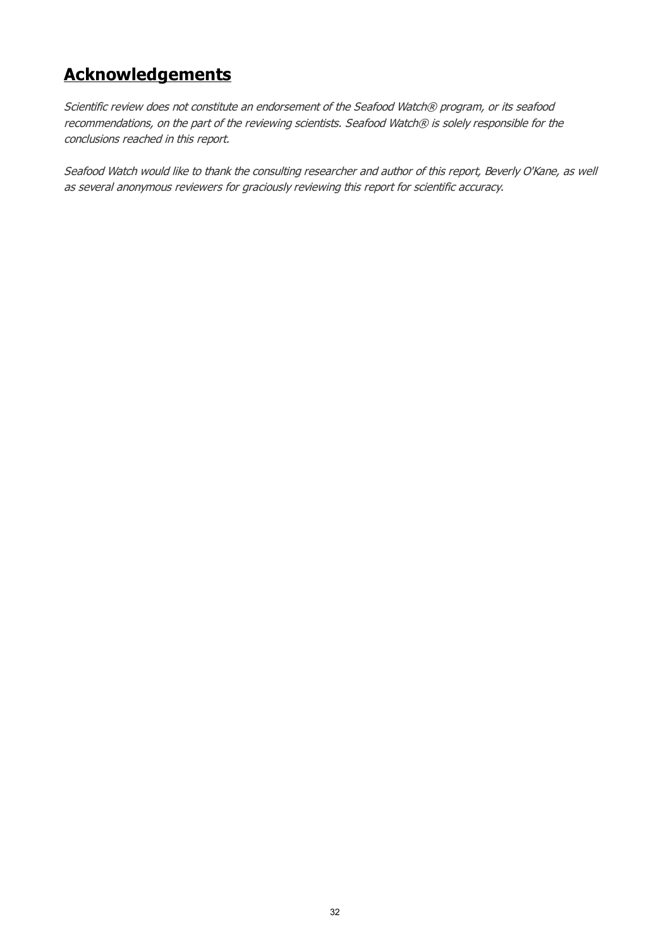# **Acknowledgements**

Scientific review does not constitute an endorsement of the Seafood Watch® program, or its seafood recommendations, on the part of the reviewing scientists. Seafood Watch® is solely responsible for the conclusions reached in this report.

Seafood Watch would like to thank the consulting researcher and author of this report, Beverly O'Kane, as well as several anonymous reviewers for graciously reviewing this report for scientific accuracy.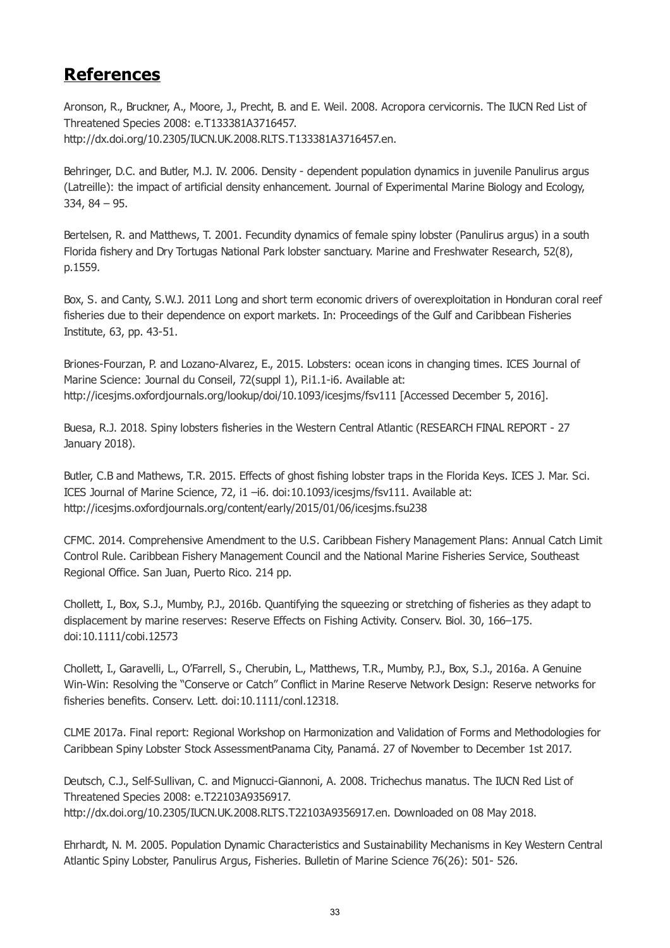# **References**

Aronson, R., Bruckner, A., Moore, J., Precht, B. and E. Weil. 2008. Acropora cervicornis. The IUCN Red List of Threatened Species 2008: e.T133381A3716457. http://dx.doi.org/10.2305/IUCN.UK.2008.RLTS.T133381A3716457.en.

Behringer, D.C. and Butler, M.J. IV. 2006. Density - dependent population dynamics in juvenile Panulirus argus (Latreille): the impact of artificial density enhancement. Journal of Experimental Marine Biology and Ecology, 334, 84 – 95.

Bertelsen, R. and Matthews, T. 2001. Fecundity dynamics of female spiny lobster (Panulirus argus) in a south Florida fishery and Dry Tortugas National Park lobster sanctuary. Marine and Freshwater Research, 52(8), p.1559.

Box, S. and Canty, S.W.J. 2011 Long and short term economic drivers of overexploitation in Honduran coral reef fisheries due to their dependence on export markets. In: Proceedings of the Gulf and Caribbean Fisheries Institute, 63, pp. 43-51.

Briones-Fourzan, P. and Lozano-Alvarez, E., 2015. Lobsters: ocean icons in changing times. ICES Journal of Marine Science: Journal du Conseil, 72(suppl 1), P.i1.1-i6. Available at: http://icesjms.oxfordjournals.org/lookup/doi/10.1093/icesjms/fsv111 [Accessed December 5, 2016].

Buesa, R.J. 2018. Spiny lobsters fisheries in the Western Central Atlantic (RESEARCH FINAL REPORT - 27 January 2018).

Butler, C.B and Mathews, T.R. 2015. Effects of ghost fishing lobster traps in the Florida Keys. ICES J. Mar. Sci. ICES Journal of Marine Science, 72, i1 –i6. doi:10.1093/icesjms/fsv111. Available at: http://icesjms.oxfordjournals.org/content/early/2015/01/06/icesjms.fsu238

CFMC. 2014. Comprehensive Amendment to the U.S. Caribbean Fishery Management Plans: Annual Catch Limit Control Rule. Caribbean Fishery Management Council and the National Marine Fisheries Service, Southeast Regional Office. San Juan, Puerto Rico. 214 pp.

Chollett, I., Box, S.J., Mumby, P.J., 2016b. Quantifying the squeezing or stretching of fisheries as they adapt to displacement by marine reserves: Reserve Effects on Fishing Activity. Conserv. Biol. 30, 166–175. doi:10.1111/cobi.12573

Chollett, I., Garavelli, L., O'Farrell, S., Cherubin, L., Matthews, T.R., Mumby, P.J., Box, S.J., 2016a. A Genuine Win-Win: Resolving the "Conserve or Catch" Conflict in Marine Reserve Network Design: Reserve networks for fisheries benefits. Conserv. Lett. doi:10.1111/conl.12318.

CLME 2017a. Final report: Regional Workshop on Harmonization and Validation of Forms and Methodologies for Caribbean Spiny Lobster Stock AssessmentPanama City, Panamá. 27 of November to December 1st 2017.

Deutsch, C.J., Self-Sullivan, C. and Mignucci-Giannoni, A. 2008. Trichechus manatus. The IUCN Red List of Threatened Species 2008: e.T22103A9356917. http://dx.doi.org/10.2305/IUCN.UK.2008.RLTS.T22103A9356917.en. Downloaded on 08 May 2018.

Ehrhardt, N. M. 2005. Population Dynamic Characteristics and Sustainability Mechanisms in Key Western Central Atlantic Spiny Lobster, Panulirus Argus, Fisheries. Bulletin of Marine Science 76(26): 501- 526.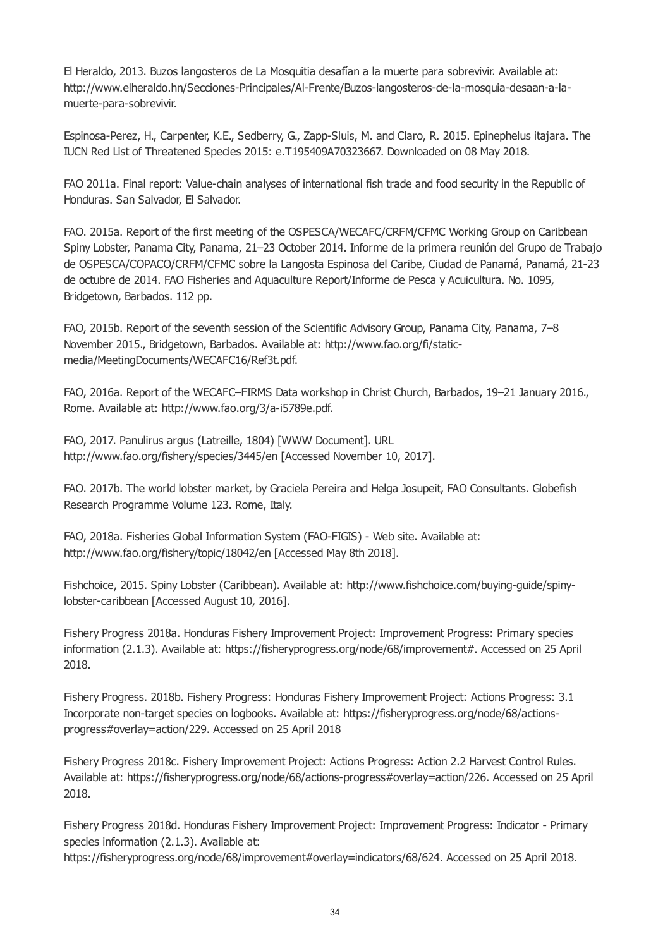El Heraldo, 2013. Buzos langosteros de La Mosquitia desafían a la muerte para sobrevivir. Available at: http://www.elheraldo.hn/Secciones-Principales/Al-Frente/Buzos-langosteros-de-la-mosquia-desaan-a-lamuerte-para-sobrevivir.

Espinosa-Perez, H., Carpenter, K.E., Sedberry, G., Zapp-Sluis, M. and Claro, R. 2015. Epinephelus itajara. The IUCN Red List of Threatened Species 2015: e.T195409A70323667. Downloaded on 08 May 2018.

FAO 2011a. Final report: Value-chain analyses of international fish trade and food security in the Republic of Honduras. San Salvador, El Salvador.

FAO. 2015a. Report of the first meeting of the OSPESCA/WECAFC/CRFM/CFMC Working Group on Caribbean Spiny Lobster, Panama City, Panama, 21–23 October 2014. Informe de la primera reunión del Grupo de Trabajo de OSPESCA/COPACO/CRFM/CFMC sobre la Langosta Espinosa del Caribe, Ciudad de Panamá, Panamá, 21-23 de octubre de 2014. FAO Fisheries and Aquaculture Report/Informe de Pesca y Acuicultura. No. 1095, Bridgetown, Barbados. 112 pp.

FAO, 2015b. Report of the seventh session of the Scientific Advisory Group, Panama City, Panama, 7–8 November 2015., Bridgetown, Barbados. Available at: http://www.fao.org/fi/staticmedia/MeetingDocuments/WECAFC16/Ref3t.pdf.

FAO, 2016a. Report of the WECAFC–FIRMS Data workshop in Christ Church, Barbados, 19–21 January 2016., Rome. Available at: http://www.fao.org/3/a-i5789e.pdf.

FAO, 2017. Panulirus argus (Latreille, 1804) [WWW Document]. URL http://www.fao.org/fishery/species/3445/en [Accessed November 10, 2017].

FAO. 2017b. The world lobster market, by Graciela Pereira and Helga Josupeit, FAO Consultants. Globefish Research Programme Volume 123. Rome, Italy.

FAO, 2018a. Fisheries Global Information System (FAO-FIGIS) - Web site. Available at: http://www.fao.org/fishery/topic/18042/en [Accessed May 8th 2018].

Fishchoice, 2015. Spiny Lobster (Caribbean). Available at: http://www.fishchoice.com/buying-guide/spinylobster-caribbean [Accessed August 10, 2016].

Fishery Progress 2018a. Honduras Fishery Improvement Project: Improvement Progress: Primary species information (2.1.3). Available at: https://fisheryprogress.org/node/68/improvement#. Accessed on 25 April 2018.

Fishery Progress. 2018b. Fishery Progress: Honduras Fishery Improvement Project: Actions Progress: 3.1 Incorporate non-target species on logbooks. Available at: https://fisheryprogress.org/node/68/actionsprogress#overlay=action/229. Accessed on 25 April 2018

Fishery Progress 2018c. Fishery Improvement Project: Actions Progress: Action 2.2 Harvest Control Rules. Available at: https://fisheryprogress.org/node/68/actions-progress#overlay=action/226. Accessed on 25 April 2018.

Fishery Progress 2018d. Honduras Fishery Improvement Project: Improvement Progress: Indicator - Primary species information (2.1.3). Available at:

https://fisheryprogress.org/node/68/improvement#overlay=indicators/68/624. Accessed on 25 April 2018.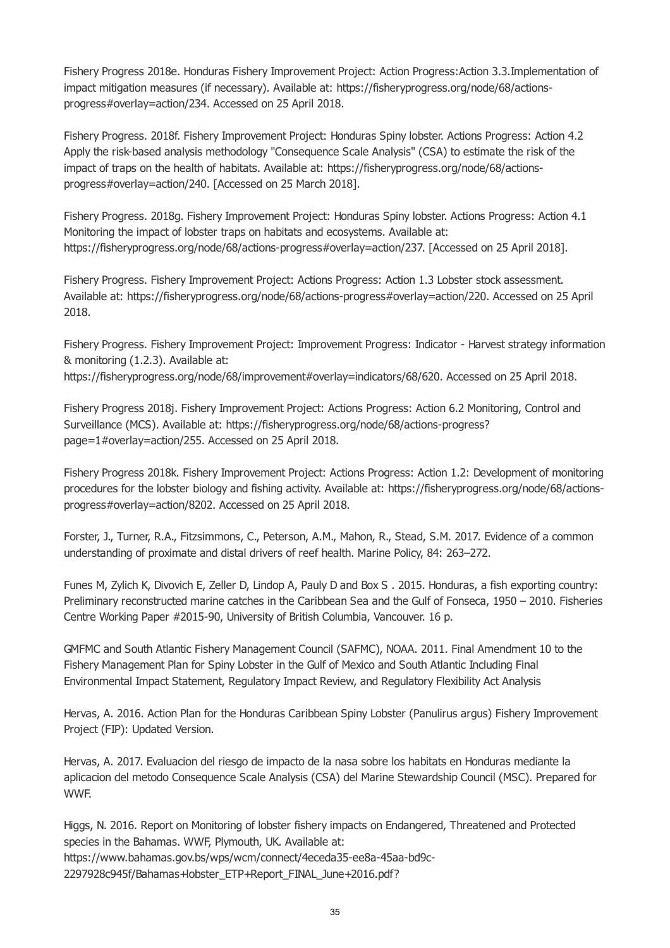Fishery Progress 2018e. Honduras Fishery Improvement Project: Action Progress:Action 3.3.Implementation of impact mitigation measures (if necessary). Available at: https://fisheryprogress.org/node/68/actionsprogress#overlay=action/234. Accessed on 25 April 2018.

Fishery Progress. 2018f. Fishery Improvement Project: Honduras Spiny lobster. Actions Progress: Action 4.2 Apply the risk-based analysis methodology "Consequence Scale Analysis" (CSA) to estimate the risk of the impact of traps on the health of habitats. Available at: https://fisheryprogress.org/node/68/actionsprogress#overlay=action/240. [Accessed on 25 March 2018].

Fishery Progress. 2018g. Fishery Improvement Project: Honduras Spiny lobster. Actions Progress: Action 4.1 Monitoring the impact of lobster traps on habitats and ecosystems. Available at: https://fisheryprogress.org/node/68/actions-progress#overlay=action/237. [Accessed on 25 April 2018].

Fishery Progress. Fishery Improvement Project: Actions Progress: Action 1.3 Lobster stock assessment. Available at: https://fisheryprogress.org/node/68/actions-progress#overlay=action/220. Accessed on 25 April 2018.

Fishery Progress. Fishery Improvement Project: Improvement Progress: Indicator - Harvest strategy information & monitoring (1.2.3). Available at:

https://fisheryprogress.org/node/68/improvement#overlay=indicators/68/620. Accessed on 25 April 2018.

Fishery Progress 2018j. Fishery Improvement Project: Actions Progress: Action 6.2 Monitoring, Control and Surveillance (MCS). Available at: https://fisheryprogress.org/node/68/actions-progress? page=1#overlay=action/255. Accessed on 25 April 2018.

Fishery Progress 2018k. Fishery Improvement Project: Actions Progress: Action 1.2: Development of monitoring procedures for the lobster biology and fishing activity. Available at: https://fisheryprogress.org/node/68/actionsprogress#overlay=action/8202. Accessed on 25 April 2018.

Forster, J., Turner, R.A., Fitzsimmons, C., Peterson, A.M., Mahon, R., Stead, S.M. 2017. Evidence of a common understanding of proximate and distal drivers of reef health. Marine Policy, 84: 263–272.

Funes M, Zylich K, Divovich E, Zeller D, Lindop A, Pauly D and Box S . 2015. Honduras, a fish exporting country: Preliminary reconstructed marine catches in the Caribbean Sea and the Gulf of Fonseca, 1950 – 2010. Fisheries Centre Working Paper #2015-90, University of British Columbia, Vancouver. 16 p.

GMFMC and South Atlantic Fishery Management Council (SAFMC), NOAA. 2011. Final Amendment 10 to the Fishery Management Plan for Spiny Lobster in the Gulf of Mexico and South Atlantic Including Final Environmental Impact Statement, Regulatory Impact Review, and Regulatory Flexibility Act Analysis

Hervas, A. 2016. Action Plan for the Honduras Caribbean Spiny Lobster (Panulirus argus) Fishery Improvement Project (FIP): Updated Version.

Hervas, A. 2017. Evaluacion del riesgo de impacto de la nasa sobre los habitats en Honduras mediante la aplicacion del metodo Consequence Scale Analysis (CSA) del Marine Stewardship Council (MSC). Prepared for WWF.

Higgs, N. 2016. Report on Monitoring of lobster fishery impacts on Endangered, Threatened and Protected species in the Bahamas. WWF, Plymouth, UK. Available at: https://www.bahamas.gov.bs/wps/wcm/connect/4eceda35-ee8a-45aa-bd9c-2297928c945f/Bahamas+lobster\_ETP+Report\_FINAL\_June+2016.pdf?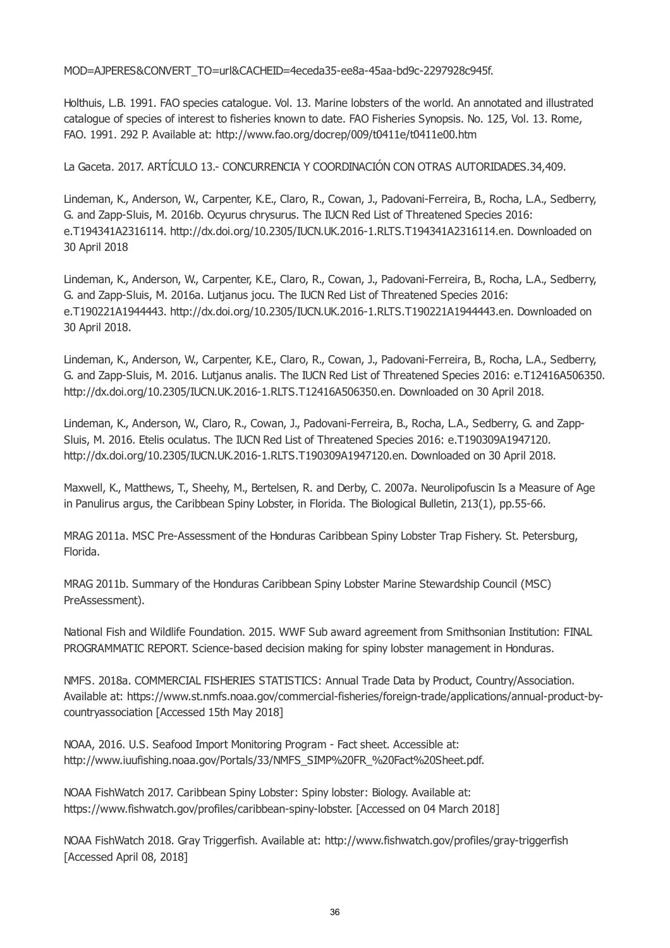MOD=AJPERES&CONVERT\_TO=url&CACHEID=4eceda35-ee8a-45aa-bd9c-2297928c945f.

Holthuis, L.B. 1991. FAO species catalogue. Vol. 13. Marine lobsters of the world. An annotated and illustrated catalogue of species of interest to fisheries known to date. FAO Fisheries Synopsis. No. 125, Vol. 13. Rome, FAO. 1991. 292 P. Available at: http://www.fao.org/docrep/009/t0411e/t0411e00.htm

La Gaceta. 2017. ARTÍCULO 13.- CONCURRENCIA Y COORDINACIÓN CON OTRAS AUTORIDADES.34,409.

Lindeman, K., Anderson, W., Carpenter, K.E., Claro, R., Cowan, J., Padovani-Ferreira, B., Rocha, L.A., Sedberry, G. and Zapp-Sluis, M. 2016b. Ocyurus chrysurus. The IUCN Red List of Threatened Species 2016: e.T194341A2316114. http://dx.doi.org/10.2305/IUCN.UK.2016-1.RLTS.T194341A2316114.en. Downloaded on 30 April 2018

Lindeman, K., Anderson, W., Carpenter, K.E., Claro, R., Cowan, J., Padovani-Ferreira, B., Rocha, L.A., Sedberry, G. and Zapp-Sluis, M. 2016a. Lutjanus jocu. The IUCN Red List of Threatened Species 2016: e.T190221A1944443. http://dx.doi.org/10.2305/IUCN.UK.2016-1.RLTS.T190221A1944443.en. Downloaded on 30 April 2018.

Lindeman, K., Anderson, W., Carpenter, K.E., Claro, R., Cowan, J., Padovani-Ferreira, B., Rocha, L.A., Sedberry, G. and Zapp-Sluis, M. 2016. Lutjanus analis. The IUCN Red List of Threatened Species 2016: e.T12416A506350. http://dx.doi.org/10.2305/IUCN.UK.2016-1.RLTS.T12416A506350.en. Downloaded on 30 April 2018.

Lindeman, K., Anderson, W., Claro, R., Cowan, J., Padovani-Ferreira, B., Rocha, L.A., Sedberry, G. and Zapp-Sluis, M. 2016. Etelis oculatus. The IUCN Red List of Threatened Species 2016: e.T190309A1947120. http://dx.doi.org/10.2305/IUCN.UK.2016-1.RLTS.T190309A1947120.en. Downloaded on 30 April 2018.

Maxwell, K., Matthews, T., Sheehy, M., Bertelsen, R. and Derby, C. 2007a. Neurolipofuscin Is a Measure of Age in Panulirus argus, the Caribbean Spiny Lobster, in Florida. The Biological Bulletin, 213(1), pp.55-66.

MRAG 2011a. MSC Pre-Assessment of the Honduras Caribbean Spiny Lobster Trap Fishery. St. Petersburg, Florida.

MRAG 2011b. Summary of the Honduras Caribbean Spiny Lobster Marine Stewardship Council (MSC) PreAssessment).

National Fish and Wildlife Foundation. 2015. WWF Sub award agreement from Smithsonian Institution: FINAL PROGRAMMATIC REPORT. Science-based decision making for spiny lobster management in Honduras.

NMFS. 2018a. COMMERCIAL FISHERIES STATISTICS: Annual Trade Data by Product, Country/Association. Available at: https://www.st.nmfs.noaa.gov/commercial-fisheries/foreign-trade/applications/annual-product-bycountryassociation [Accessed 15th May 2018]

NOAA, 2016. U.S. Seafood Import Monitoring Program - Fact sheet. Accessible at: http://www.iuufishing.noaa.gov/Portals/33/NMFS\_SIMP%20FR\_%20Fact%20Sheet.pdf.

NOAA FishWatch 2017. Caribbean Spiny Lobster: Spiny lobster: Biology. Available at: https://www.fishwatch.gov/profiles/caribbean-spiny-lobster. [Accessed on 04 March 2018]

NOAA FishWatch 2018. Gray Triggerfish. Available at: http://www.fishwatch.gov/profiles/gray-triggerfish [Accessed April 08, 2018]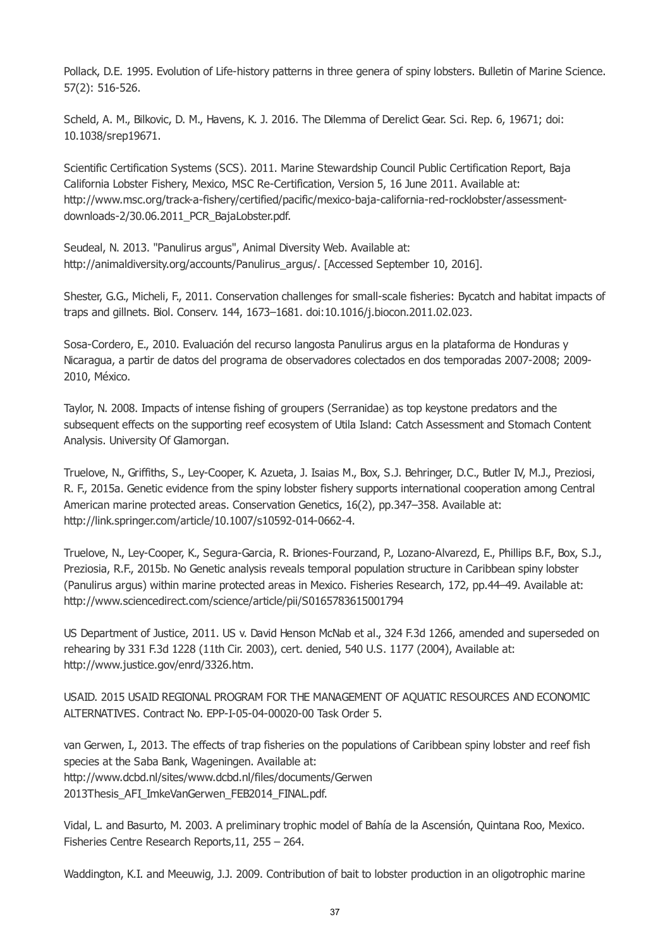Pollack, D.E. 1995. Evolution of Life-history patterns in three genera of spiny lobsters. Bulletin of Marine Science. 57(2): 516-526.

Scheld, A. M., Bilkovic, D. M., Havens, K. J. 2016. The Dilemma of Derelict Gear. Sci. Rep. 6, 19671; doi: 10.1038/srep19671.

Scientific Certification Systems (SCS). 2011. Marine Stewardship Council Public Certification Report, Baja California Lobster Fishery, Mexico, MSC Re-Certification, Version 5, 16 June 2011. Available at: http://www.msc.org/track-a-fishery/certified/pacific/mexico-baja-california-red-rocklobster/assessmentdownloads-2/30.06.2011\_PCR\_BajaLobster.pdf.

Seudeal, N. 2013. "Panulirus argus", Animal Diversity Web. Available at: http://animaldiversity.org/accounts/Panulirus\_argus/. [Accessed September 10, 2016].

Shester, G.G., Micheli, F., 2011. Conservation challenges for small-scale fisheries: Bycatch and habitat impacts of traps and gillnets. Biol. Conserv. 144, 1673–1681. doi:10.1016/j.biocon.2011.02.023.

Sosa-Cordero, E., 2010. Evaluación del recurso langosta Panulirus argus en la plataforma de Honduras y Nicaragua, a partir de datos del programa de observadores colectados en dos temporadas 2007-2008; 2009- 2010, México.

Taylor, N. 2008. Impacts of intense fishing of groupers (Serranidae) as top keystone predators and the subsequent effects on the supporting reef ecosystem of Utila Island: Catch Assessment and Stomach Content Analysis. University Of Glamorgan.

Truelove, N., Griffiths, S., Ley-Cooper, K. Azueta, J. Isaias M., Box, S.J. Behringer, D.C., Butler IV, M.J., Preziosi, R. F., 2015a. Genetic evidence from the spiny lobster fishery supports international cooperation among Central American marine protected areas. Conservation Genetics, 16(2), pp.347–358. Available at: http://link.springer.com/article/10.1007/s10592-014-0662-4.

Truelove, N., Ley-Cooper, K., Segura-Garcia, R. Briones-Fourzand, P., Lozano-Alvarezd, E., Phillips B.F., Box, S.J., Preziosia, R.F., 2015b. No Genetic analysis reveals temporal population structure in Caribbean spiny lobster (Panulirus argus) within marine protected areas in Mexico. Fisheries Research, 172, pp.44–49. Available at: http://www.sciencedirect.com/science/article/pii/S0165783615001794

US Department of Justice, 2011. US v. David Henson McNab et al., 324 F.3d 1266, amended and superseded on rehearing by 331 F.3d 1228 (11th Cir. 2003), cert. denied, 540 U.S. 1177 (2004), Available at: http://www.justice.gov/enrd/3326.htm.

USAID. 2015 USAID REGIONAL PROGRAM FOR THE MANAGEMENT OF AQUATIC RESOURCES AND ECONOMIC ALTERNATIVES. Contract No. EPP-I-05-04-00020-00 Task Order 5.

van Gerwen, I., 2013. The effects of trap fisheries on the populations of Caribbean spiny lobster and reef fish species at the Saba Bank, Wageningen. Available at: http://www.dcbd.nl/sites/www.dcbd.nl/files/documents/Gerwen 2013Thesis\_AFI\_ImkeVanGerwen\_FEB2014\_FINAL.pdf.

Vidal, L. and Basurto, M. 2003. A preliminary trophic model of Bahía de la Ascensión, Quintana Roo, Mexico. Fisheries Centre Research Reports,11, 255 – 264.

Waddington, K.I. and Meeuwig, J.J. 2009. Contribution of bait to lobster production in an oligotrophic marine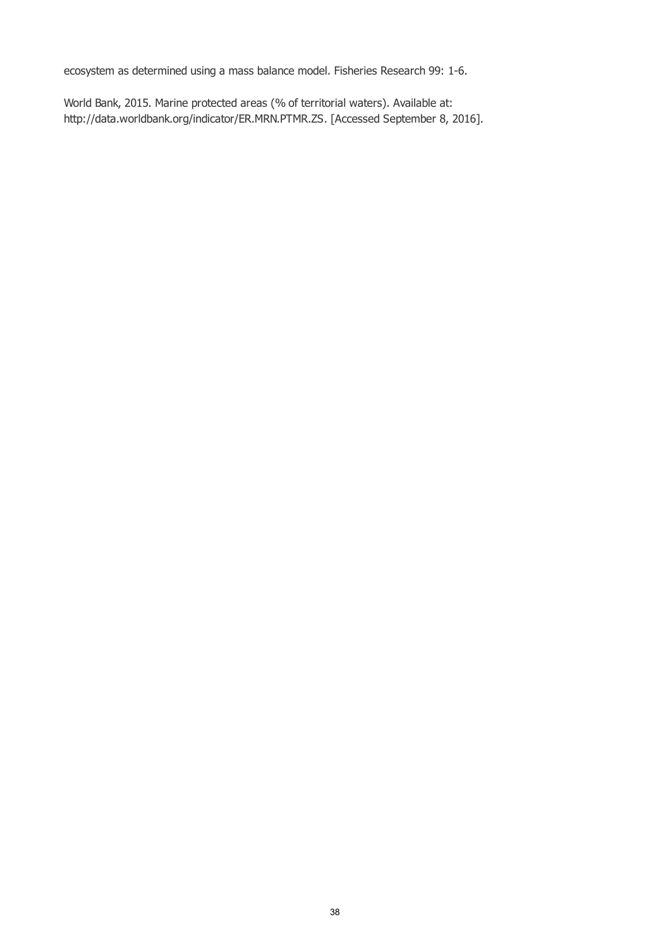ecosystem as determined using a mass balance model. Fisheries Research 99: 1-6.

World Bank, 2015. Marine protected areas (% of territorial waters). Available at: http://data.worldbank.org/indicator/ER.MRN.PTMR.ZS. [Accessed September 8, 2016].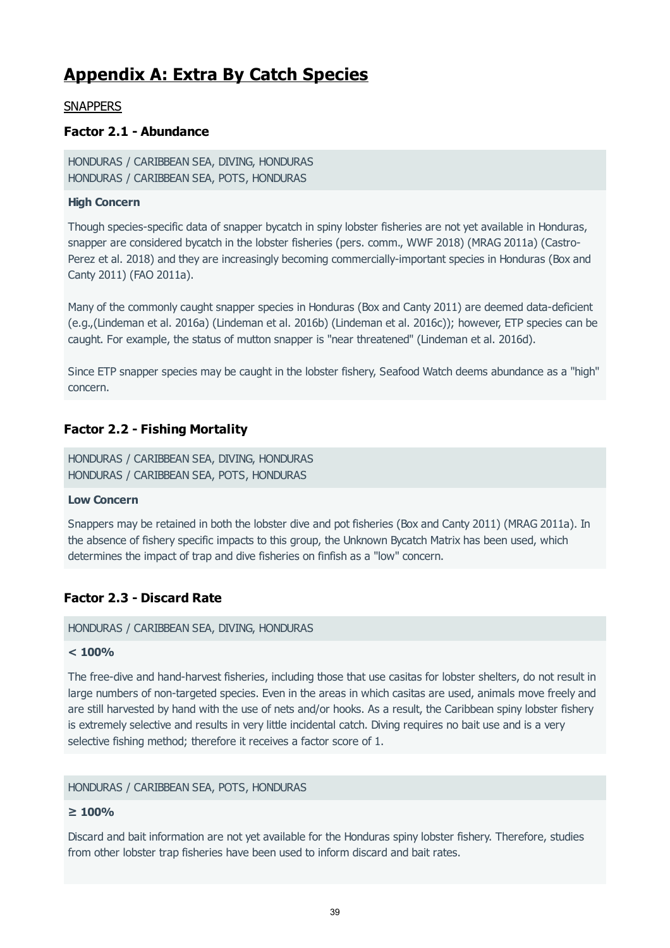# **Appendix A: Extra By Catch Species**

# **SNAPPERS**

# **Factor 2.1 - Abundance**

HONDURAS / CARIBBEAN SEA, DIVING, HONDURAS HONDURAS / CARIBBEAN SEA, POTS, HONDURAS

# **High Concern**

Though species-specific data of snapper bycatch in spiny lobster fisheries are not yet available in Honduras, snapper are considered bycatch in the lobster fisheries (pers. comm., WWF 2018) (MRAG 2011a) (Castro-Perez et al. 2018) and they are increasingly becoming commercially-important species in Honduras (Box and Canty 2011) (FAO 2011a).

Many of the commonly caught snapper species in Honduras (Box and Canty 2011) are deemed data-deficient (e.g.,(Lindeman et al. 2016a) (Lindeman et al. 2016b) (Lindeman et al. 2016c)); however, ETP species can be caught. For example, the status of mutton snapper is "near threatened" (Lindeman et al. 2016d).

Since ETP snapper species may be caught in the lobster fishery, Seafood Watch deems abundance as a "high" concern.

# **Factor 2.2 - Fishing Mortality**

HONDURAS / CARIBBEAN SEA, DIVING, HONDURAS HONDURAS / CARIBBEAN SEA, POTS, HONDURAS

## **Low Concern**

Snappers may be retained in both the lobster dive and pot fisheries (Box and Canty 2011) (MRAG 2011a). In the absence of fishery specific impacts to this group, the Unknown Bycatch Matrix has been used, which determines the impact of trap and dive fisheries on finfish as a "low" concern.

# **Factor 2.3 - Discard Rate**

### HONDURAS / CARIBBEAN SEA, DIVING, HONDURAS

## **< 100%**

The free-dive and hand-harvest fisheries, including those that use casitas for lobster shelters, do not result in large numbers of non-targeted species. Even in the areas in which casitas are used, animals move freely and are still harvested by hand with the use of nets and/or hooks. As a result, the Caribbean spiny lobster fishery is extremely selective and results in very little incidental catch. Diving requires no bait use and is a very selective fishing method; therefore it receives a factor score of 1.

## HONDURAS / CARIBBEAN SEA, POTS, HONDURAS

# **≥ 100%**

Discard and bait information are not yet available for the Honduras spiny lobster fishery. Therefore, studies from other lobster trap fisheries have been used to inform discard and bait rates.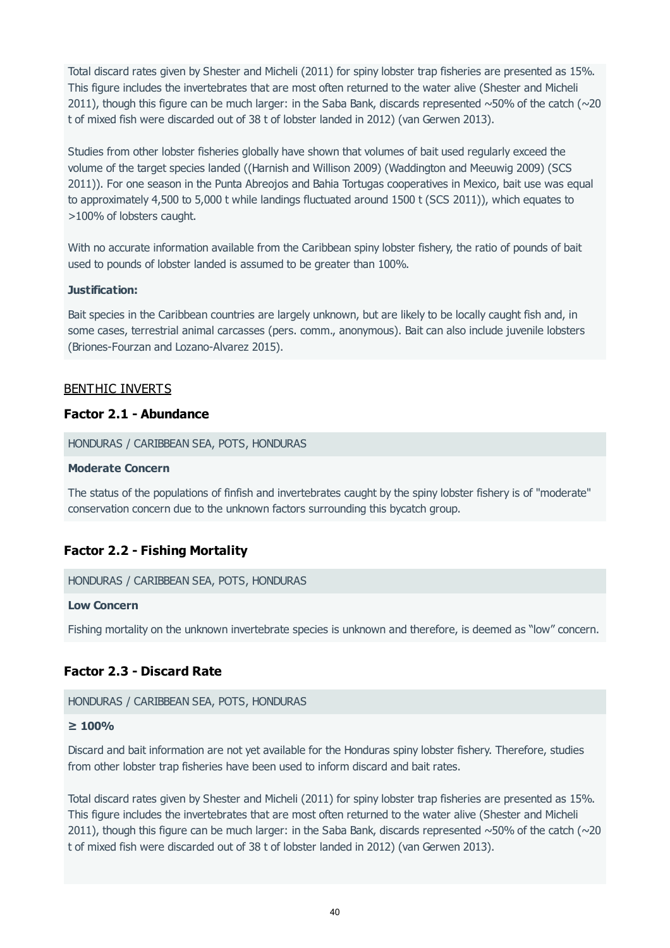Total discard rates given by Shester and Micheli (2011) for spiny lobster trap fisheries are presented as 15%. This figure includes the invertebrates that are most often returned to the water alive (Shester and Micheli 2011), though this figure can be much larger: in the Saba Bank, discards represented  $\sim$  50% of the catch ( $\sim$ 20 t of mixed fish were discarded out of 38 t of lobster landed in 2012) (van Gerwen 2013).

Studies from other lobster fisheries globally have shown that volumes of bait used regularly exceed the volume of the target species landed ((Harnish and Willison 2009) (Waddington and Meeuwig 2009) (SCS 2011)). For one season in the Punta Abreojos and Bahia Tortugas cooperatives in Mexico, bait use was equal to approximately 4,500 to 5,000 t while landings fluctuated around 1500 t (SCS 2011)), which equates to >100% of lobsters caught.

With no accurate information available from the Caribbean spiny lobster fishery, the ratio of pounds of bait used to pounds of lobster landed is assumed to be greater than 100%.

### **Justification:**

Bait species in the Caribbean countries are largely unknown, but are likely to be locally caught fish and, in some cases, terrestrial animal carcasses (pers. comm., anonymous). Bait can also include juvenile lobsters (Briones-Fourzan and Lozano-Alvarez 2015).

# BENTHIC INVERTS

# **Factor 2.1 - Abundance**

HONDURAS / CARIBBEAN SEA, POTS, HONDURAS

#### **Moderate Concern**

The status of the populations of finfish and invertebrates caught by the spiny lobster fishery is of "moderate" conservation concern due to the unknown factors surrounding this bycatch group.

# **Factor 2.2 - Fishing Mortality**

HONDURAS / CARIBBEAN SEA, POTS, HONDURAS

### **Low Concern**

Fishing mortality on the unknown invertebrate species is unknown and therefore, is deemed as "low" concern.

# **Factor 2.3 - Discard Rate**

#### HONDURAS / CARIBBEAN SEA, POTS, HONDURAS

#### **≥ 100%**

Discard and bait information are not yet available for the Honduras spiny lobster fishery. Therefore, studies from other lobster trap fisheries have been used to inform discard and bait rates.

Total discard rates given by Shester and Micheli (2011) for spiny lobster trap fisheries are presented as 15%. This figure includes the invertebrates that are most often returned to the water alive (Shester and Micheli 2011), though this figure can be much larger: in the Saba Bank, discards represented  $\sim$  50% of the catch ( $\sim$ 20 t of mixed fish were discarded out of 38 t of lobster landed in 2012) (van Gerwen 2013).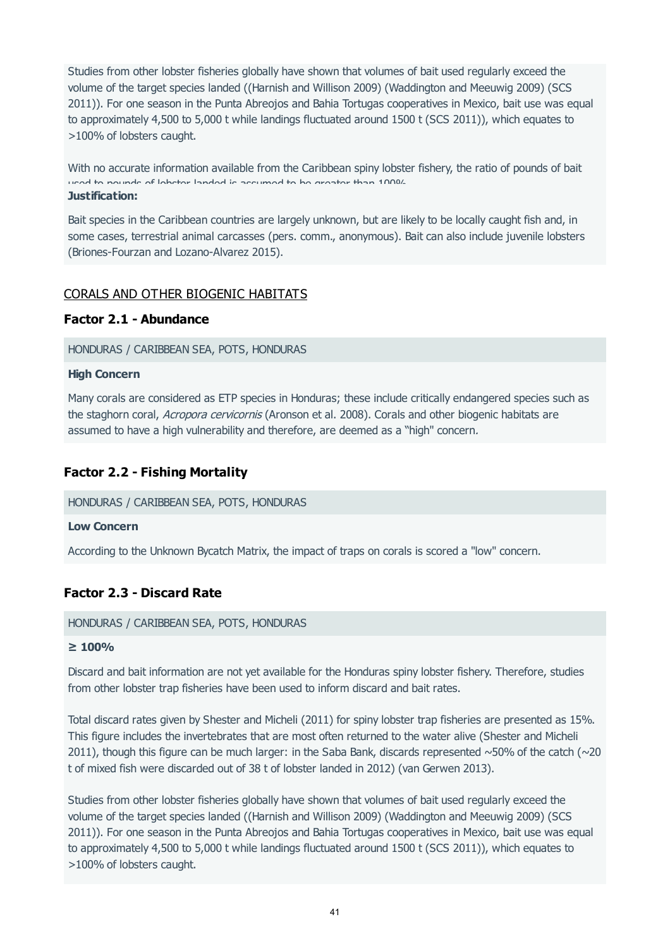Studies from other lobster fisheries globally have shown that volumes of bait used regularly exceed the volume of the target species landed ((Harnish and Willison 2009) (Waddington and Meeuwig 2009) (SCS 2011)). For one season in the Punta Abreojos and Bahia Tortugas cooperatives in Mexico, bait use was equal to approximately 4,500 to 5,000 t while landings fluctuated around 1500 t (SCS 2011)), which equates to >100% of lobsters caught.

With no accurate information available from the Caribbean spiny lobster fishery, the ratio of pounds of bait used to pounds of lobster landed is assumed to be greater than 100%.

#### **Justification:**

Bait species in the Caribbean countries are largely unknown, but are likely to be locally caught fish and, in some cases, terrestrial animal carcasses (pers. comm., anonymous). Bait can also include juvenile lobsters (Briones-Fourzan and Lozano-Alvarez 2015).

# CORALS AND OTHER BIOGENIC HABITATS

## **Factor 2.1 - Abundance**

HONDURAS / CARIBBEAN SEA, POTS, HONDURAS

### **High Concern**

Many corals are considered as ETP species in Honduras; these include critically endangered species such as the staghorn coral, Acropora cervicornis (Aronson et al. 2008). Corals and other biogenic habitats are assumed to have a high vulnerability and therefore, are deemed as a "high" concern.

# **Factor 2.2 - Fishing Mortality**

### HONDURAS / CARIBBEAN SEA, POTS, HONDURAS

### **Low Concern**

According to the Unknown Bycatch Matrix, the impact of traps on corals is scored a "low" concern.

## **Factor 2.3 - Discard Rate**

### HONDURAS / CARIBBEAN SEA, POTS, HONDURAS

### **≥ 100%**

Discard and bait information are not yet available for the Honduras spiny lobster fishery. Therefore, studies from other lobster trap fisheries have been used to inform discard and bait rates.

Total discard rates given by Shester and Micheli (2011) for spiny lobster trap fisheries are presented as 15%. This figure includes the invertebrates that are most often returned to the water alive (Shester and Micheli 2011), though this figure can be much larger: in the Saba Bank, discards represented  $\sim$  50% of the catch ( $\sim$ 20 t of mixed fish were discarded out of 38 t of lobster landed in 2012) (van Gerwen 2013).

Studies from other lobster fisheries globally have shown that volumes of bait used regularly exceed the volume of the target species landed ((Harnish and Willison 2009) (Waddington and Meeuwig 2009) (SCS 2011)). For one season in the Punta Abreojos and Bahia Tortugas cooperatives in Mexico, bait use was equal to approximately 4,500 to 5,000 t while landings fluctuated around 1500 t (SCS 2011)), which equates to >100% of lobsters caught.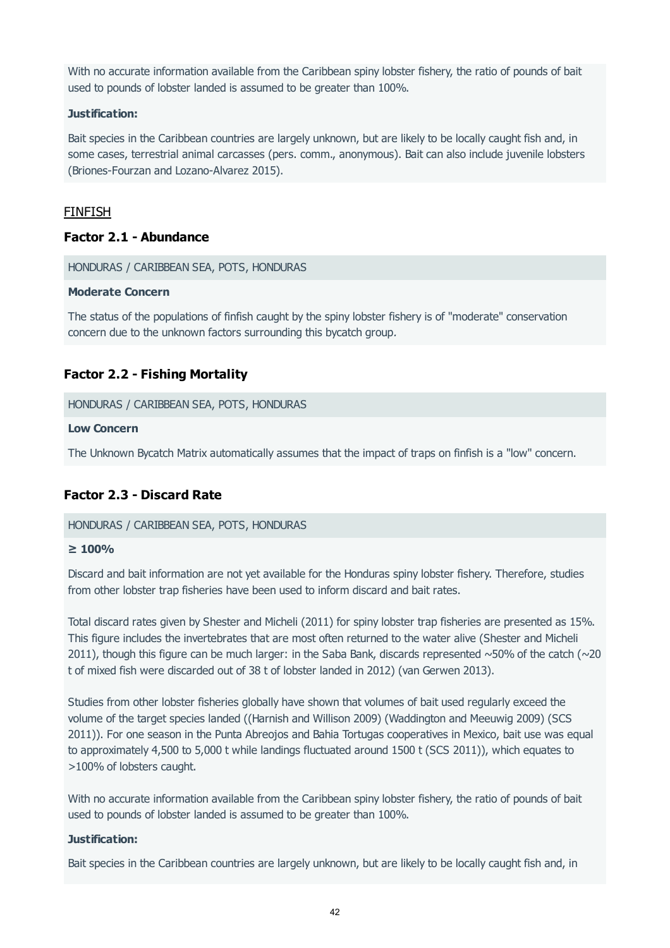With no accurate information available from the Caribbean spiny lobster fishery, the ratio of pounds of bait used to pounds of lobster landed is assumed to be greater than 100%.

### **Justification:**

Bait species in the Caribbean countries are largely unknown, but are likely to be locally caught fish and, in some cases, terrestrial animal carcasses (pers. comm., anonymous). Bait can also include juvenile lobsters (Briones-Fourzan and Lozano-Alvarez 2015).

# FINFISH

# **Factor 2.1 - Abundance**

HONDURAS / CARIBBEAN SEA, POTS, HONDURAS

### **Moderate Concern**

The status of the populations of finfish caught by the spiny lobster fishery is of "moderate" conservation concern due to the unknown factors surrounding this bycatch group.

# **Factor 2.2 - Fishing Mortality**

HONDURAS / CARIBBEAN SEA, POTS, HONDURAS

### **Low Concern**

The Unknown Bycatch Matrix automatically assumes that the impact of traps on finfish is a "low" concern.

# **Factor 2.3 - Discard Rate**

### HONDURAS / CARIBBEAN SEA, POTS, HONDURAS

### **≥ 100%**

Discard and bait information are not yet available for the Honduras spiny lobster fishery. Therefore, studies from other lobster trap fisheries have been used to inform discard and bait rates.

Total discard rates given by Shester and Micheli (2011) for spiny lobster trap fisheries are presented as 15%. This figure includes the invertebrates that are most often returned to the water alive (Shester and Micheli 2011), though this figure can be much larger: in the Saba Bank, discards represented  $\sim$  50% of the catch ( $\sim$ 20 t of mixed fish were discarded out of 38 t of lobster landed in 2012) (van Gerwen 2013).

Studies from other lobster fisheries globally have shown that volumes of bait used regularly exceed the volume of the target species landed ((Harnish and Willison 2009) (Waddington and Meeuwig 2009) (SCS 2011)). For one season in the Punta Abreojos and Bahia Tortugas cooperatives in Mexico, bait use was equal to approximately 4,500 to 5,000 t while landings fluctuated around 1500 t (SCS 2011)), which equates to >100% of lobsters caught.

With no accurate information available from the Caribbean spiny lobster fishery, the ratio of pounds of bait used to pounds of lobster landed is assumed to be greater than 100%.

### **Justification:**

Bait species in the Caribbean countries are largely unknown, but are likely to be locally caught fish and, in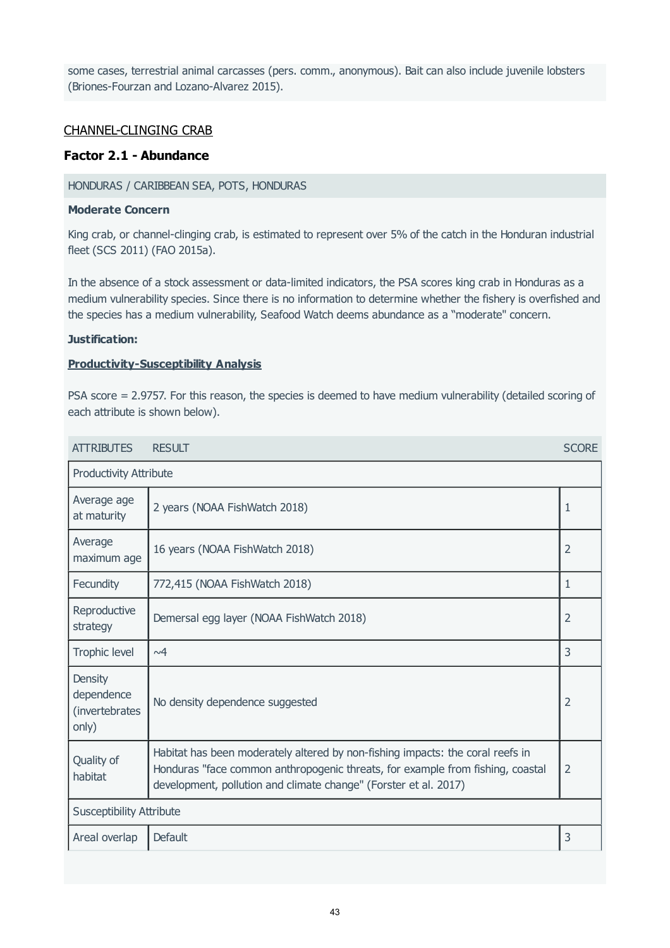some cases, terrestrial animal carcasses (pers. comm., anonymous). Bait can also include juvenile lobsters (Briones-Fourzan and Lozano-Alvarez 2015).

# CHANNEL-CLINGING CRAB

# **Factor 2.1 - Abundance**

### HONDURAS / CARIBBEAN SEA, POTS, HONDURAS

### **Moderate Concern**

King crab, or channel-clinging crab, is estimated to represent over 5% of the catch in the Honduran industrial fleet (SCS 2011) (FAO 2015a).

In the absence of a stock assessment or data-limited indicators, the PSA scores king crab in Honduras as a medium vulnerability species. Since there is no information to determine whether the fishery is overfished and the species has a medium vulnerability, Seafood Watch deems abundance as a "moderate" concern.

### **Justification:**

### **Productivity-Susceptibility Analysis**

PSA score = 2.9757. For this reason, the species is deemed to have medium vulnerability (detailed scoring of each attribute is shown below).

| <b>ATTRIBUTES</b>                                       | <b>RESULT</b>                                                                                                                                                                                                                        | <b>SCORE</b>   |
|---------------------------------------------------------|--------------------------------------------------------------------------------------------------------------------------------------------------------------------------------------------------------------------------------------|----------------|
| Productivity Attribute                                  |                                                                                                                                                                                                                                      |                |
| Average age<br>at maturity                              | 2 years (NOAA FishWatch 2018)                                                                                                                                                                                                        | 1              |
| Average<br>maximum age                                  | 16 years (NOAA FishWatch 2018)                                                                                                                                                                                                       | $\overline{2}$ |
| Fecundity                                               | 772,415 (NOAA FishWatch 2018)                                                                                                                                                                                                        | $\mathbf{1}$   |
| Reproductive<br>strategy                                | Demersal egg layer (NOAA FishWatch 2018)                                                                                                                                                                                             | $\overline{2}$ |
| Trophic level                                           | $\sim4$                                                                                                                                                                                                                              | 3              |
| <b>Density</b><br>dependence<br>(invertebrates<br>only) | No density dependence suggested                                                                                                                                                                                                      | $\overline{2}$ |
| Quality of<br>habitat                                   | Habitat has been moderately altered by non-fishing impacts: the coral reefs in<br>Honduras "face common anthropogenic threats, for example from fishing, coastal<br>development, pollution and climate change" (Forster et al. 2017) | $\overline{2}$ |
| <b>Susceptibility Attribute</b>                         |                                                                                                                                                                                                                                      |                |
| Areal overlap                                           | Default                                                                                                                                                                                                                              | 3              |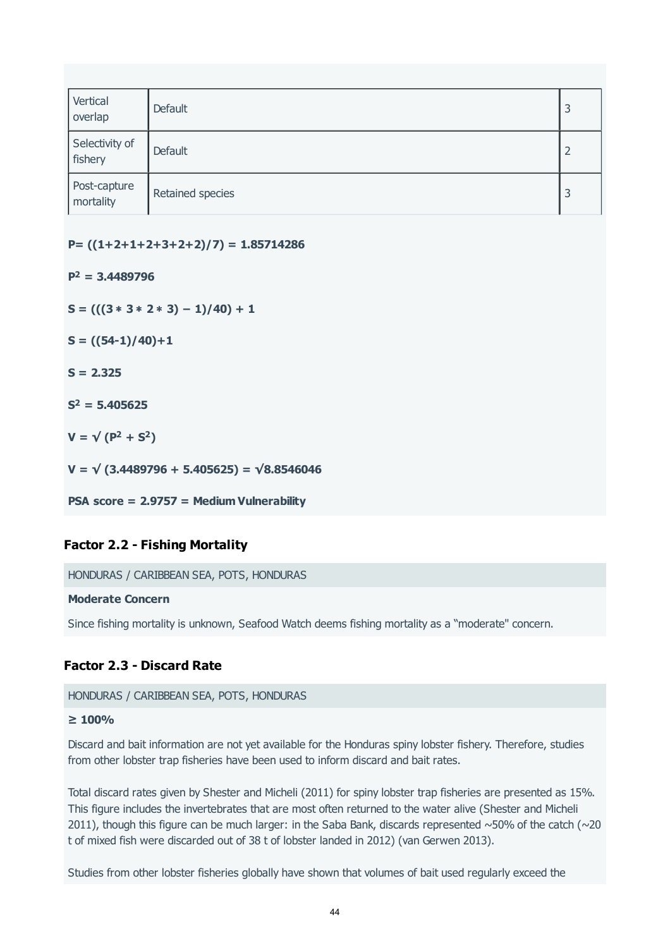| Vertical<br>overlap       | Default          | 3              |
|---------------------------|------------------|----------------|
| Selectivity of<br>fishery | Default          | $\overline{2}$ |
| Post-capture<br>mortality | Retained species | 3              |

**P= ((1+2+1+2+3+2+2)/7) = 1.85714286**

 $P^2 = 3.4489796$ 

**S = (((3** ∗ **3** ∗ **2** ∗ **3) − 1)/40) + 1**

**S = ((54-1)/40)+1**

**S = 2.325**

 $S^2 = 5.405625$ 

 $V = \sqrt{(P^2 + S^2)}$ 

**V = √ (3.4489796 + 5.405625) = √8.8546046**

**PSA score = 2.9757 = Medium Vulnerability**

### **Factor 2.2 - Fishing Mortality**

HONDURAS / CARIBBEAN SEA, POTS, HONDURAS

#### **Moderate Concern**

Since fishing mortality is unknown, Seafood Watch deems fishing mortality as a "moderate" concern.

### **Factor 2.3 - Discard Rate**

HONDURAS / CARIBBEAN SEA, POTS, HONDURAS

#### **≥ 100%**

Discard and bait information are not yet available for the Honduras spiny lobster fishery. Therefore, studies from other lobster trap fisheries have been used to inform discard and bait rates.

Total discard rates given by Shester and Micheli (2011) for spiny lobster trap fisheries are presented as 15%. This figure includes the invertebrates that are most often returned to the water alive (Shester and Micheli 2011), though this figure can be much larger: in the Saba Bank, discards represented  $\sim$  50% of the catch ( $\sim$ 20 t of mixed fish were discarded out of 38 t of lobster landed in 2012) (van Gerwen 2013).

Studies from other lobster fisheries globally have shown that volumes of bait used regularly exceed the